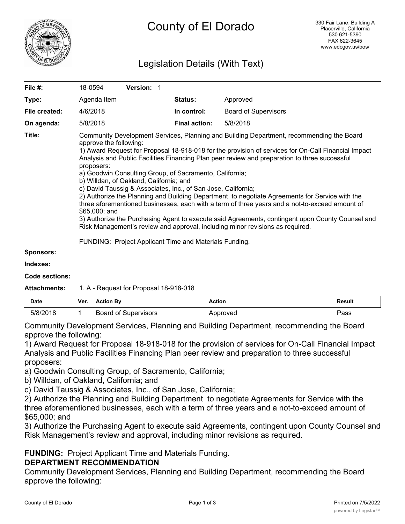

# Legislation Details (With Text)

| File #:       | 18-0594                                                                                                                                                                                                                                                                                                                                                                                                                                                                                                                                                                                                                                                                                                                                                                                                                                                                                                                    | <b>Version: 1</b> |                      |                             |  |
|---------------|----------------------------------------------------------------------------------------------------------------------------------------------------------------------------------------------------------------------------------------------------------------------------------------------------------------------------------------------------------------------------------------------------------------------------------------------------------------------------------------------------------------------------------------------------------------------------------------------------------------------------------------------------------------------------------------------------------------------------------------------------------------------------------------------------------------------------------------------------------------------------------------------------------------------------|-------------------|----------------------|-----------------------------|--|
| Type:         | Agenda Item                                                                                                                                                                                                                                                                                                                                                                                                                                                                                                                                                                                                                                                                                                                                                                                                                                                                                                                |                   | <b>Status:</b>       | Approved                    |  |
| File created: | 4/6/2018                                                                                                                                                                                                                                                                                                                                                                                                                                                                                                                                                                                                                                                                                                                                                                                                                                                                                                                   |                   | In control:          | <b>Board of Supervisors</b> |  |
| On agenda:    | 5/8/2018                                                                                                                                                                                                                                                                                                                                                                                                                                                                                                                                                                                                                                                                                                                                                                                                                                                                                                                   |                   | <b>Final action:</b> | 5/8/2018                    |  |
| Title:        | Community Development Services, Planning and Building Department, recommending the Board<br>approve the following:<br>1) Award Request for Proposal 18-918-018 for the provision of services for On-Call Financial Impact<br>Analysis and Public Facilities Financing Plan peer review and preparation to three successful<br>proposers:<br>a) Goodwin Consulting Group, of Sacramento, California;<br>b) Willdan, of Oakland, California; and<br>c) David Taussig & Associates, Inc., of San Jose, California;<br>2) Authorize the Planning and Building Department to negotiate Agreements for Service with the<br>three aforementioned businesses, each with a term of three years and a not-to-exceed amount of<br>$$65,000;$ and<br>3) Authorize the Purchasing Agent to execute said Agreements, contingent upon County Counsel and<br>Risk Management's review and approval, including minor revisions as required. |                   |                      |                             |  |

FUNDING: Project Applicant Time and Materials Funding.

**Sponsors:**

**Indexes:**

**Code sections:**

#### **Attachments:** 1. A - Request for Proposal 18-918-018

| Date  | Ver. | <b>Action By</b>        | Action  | Result |
|-------|------|-------------------------|---------|--------|
| 5/8/7 |      | Board of<br>Supervisors | pproved | יפּ≂   |

Community Development Services, Planning and Building Department, recommending the Board approve the following:

1) Award Request for Proposal 18-918-018 for the provision of services for On-Call Financial Impact Analysis and Public Facilities Financing Plan peer review and preparation to three successful proposers:

a) Goodwin Consulting Group, of Sacramento, California;

b) Willdan, of Oakland, California; and

c) David Taussig & Associates, Inc., of San Jose, California;

2) Authorize the Planning and Building Department to negotiate Agreements for Service with the three aforementioned businesses, each with a term of three years and a not-to-exceed amount of \$65,000; and

3) Authorize the Purchasing Agent to execute said Agreements, contingent upon County Counsel and Risk Management's review and approval, including minor revisions as required.

# **FUNDING:** Project Applicant Time and Materials Funding.

### **DEPARTMENT RECOMMENDATION**

Community Development Services, Planning and Building Department, recommending the Board approve the following: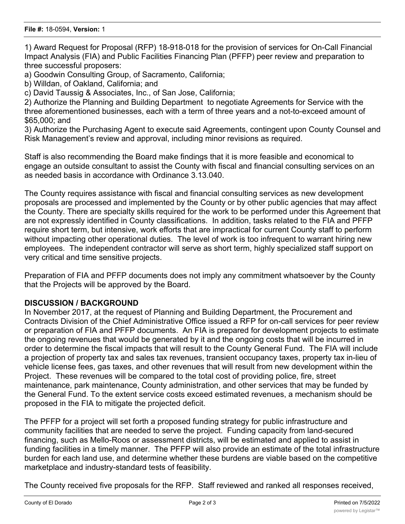1) Award Request for Proposal (RFP) 18-918-018 for the provision of services for On-Call Financial Impact Analysis (FIA) and Public Facilities Financing Plan (PFFP) peer review and preparation to three successful proposers:

a) Goodwin Consulting Group, of Sacramento, California;

b) Willdan, of Oakland, California; and

c) David Taussig & Associates, Inc., of San Jose, California;

2) Authorize the Planning and Building Department to negotiate Agreements for Service with the three aforementioned businesses, each with a term of three years and a not-to-exceed amount of \$65,000; and

3) Authorize the Purchasing Agent to execute said Agreements, contingent upon County Counsel and Risk Management's review and approval, including minor revisions as required.

Staff is also recommending the Board make findings that it is more feasible and economical to engage an outside consultant to assist the County with fiscal and financial consulting services on an as needed basis in accordance with Ordinance 3.13.040.

The County requires assistance with fiscal and financial consulting services as new development proposals are processed and implemented by the County or by other public agencies that may affect the County. There are specialty skills required for the work to be performed under this Agreement that are not expressly identified in County classifications. In addition, tasks related to the FIA and PFFP require short term, but intensive, work efforts that are impractical for current County staff to perform without impacting other operational duties. The level of work is too infrequent to warrant hiring new employees. The independent contractor will serve as short term, highly specialized staff support on very critical and time sensitive projects.

Preparation of FIA and PFFP documents does not imply any commitment whatsoever by the County that the Projects will be approved by the Board.

# **DISCUSSION / BACKGROUND**

In November 2017, at the request of Planning and Building Department, the Procurement and Contracts Division of the Chief Administrative Office issued a RFP for on-call services for peer review or preparation of FIA and PFFP documents. An FIA is prepared for development projects to estimate the ongoing revenues that would be generated by it and the ongoing costs that will be incurred in order to determine the fiscal impacts that will result to the County General Fund. The FIA will include a projection of property tax and sales tax revenues, transient occupancy taxes, property tax in-lieu of vehicle license fees, gas taxes, and other revenues that will result from new development within the Project. These revenues will be compared to the total cost of providing police, fire, street maintenance, park maintenance, County administration, and other services that may be funded by the General Fund. To the extent service costs exceed estimated revenues, a mechanism should be proposed in the FIA to mitigate the projected deficit.

The PFFP for a project will set forth a proposed funding strategy for public infrastructure and community facilities that are needed to serve the project. Funding capacity from land-secured financing, such as Mello-Roos or assessment districts, will be estimated and applied to assist in funding facilities in a timely manner. The PFFP will also provide an estimate of the total infrastructure burden for each land use, and determine whether these burdens are viable based on the competitive marketplace and industry-standard tests of feasibility.

The County received five proposals for the RFP. Staff reviewed and ranked all responses received,